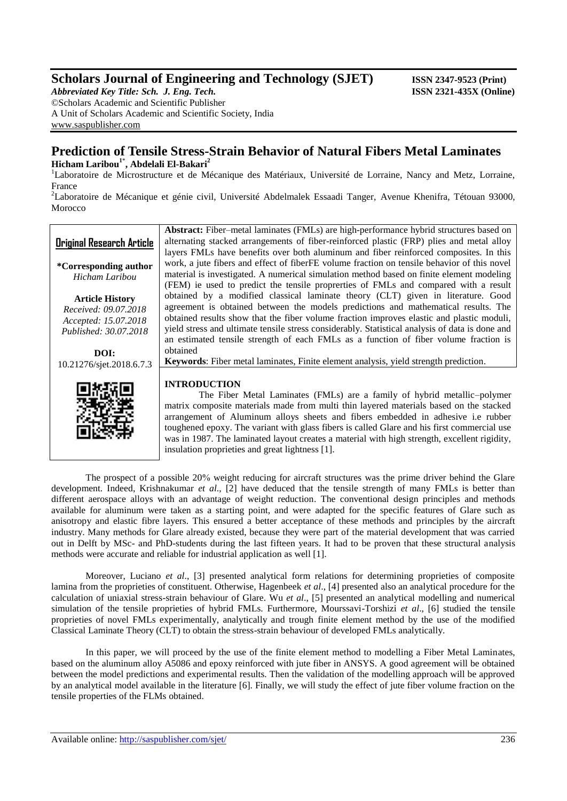# **Scholars Journal of Engineering and Technology (SJET) ISSN 2347-9523 (Print)**

*Abbreviated Key Title: Sch. J. Eng. Tech.* **ISSN 2321-435X (Online)** ©Scholars Academic and Scientific Publisher A Unit of Scholars Academic and Scientific Society, India [www.saspublisher.com](http://www.saspublisher.com/)

# **Prediction of Tensile Stress-Strain Behavior of Natural Fibers Metal Laminates Hicham Laribou 1**\* **, Abdelali El-Bakari<sup>2</sup>**

<sup>1</sup>Laboratoire de Microstructure et de Mécanique des Matériaux, Université de Lorraine, Nancy and Metz, Lorraine, France

<sup>2</sup>Laboratoire de Mécanique et génie civil, Université Abdelmalek Essaadi Tanger, Avenue Khenifra, Tétouan 93000, Morocco



The prospect of a possible 20% weight reducing for aircraft structures was the prime driver behind the Glare development. Indeed, Krishnakumar *et al*., [2] have deduced that the tensile strength of many FMLs is better than different aerospace alloys with an advantage of weight reduction. The conventional design principles and methods available for aluminum were taken as a starting point, and were adapted for the specific features of Glare such as anisotropy and elastic fibre layers. This ensured a better acceptance of these methods and principles by the aircraft industry. Many methods for Glare already existed, because they were part of the material development that was carried out in Delft by MSc- and PhD-students during the last fifteen years. It had to be proven that these structural analysis methods were accurate and reliable for industrial application as well [1].

Moreover, Luciano *et al*., [3] presented analytical form relations for determining proprieties of composite lamina from the proprieties of constituent. Otherwise, Hagenbeek *et al*., [4] presented also an analytical procedure for the calculation of uniaxial stress-strain behaviour of Glare. Wu *et al*., [5] presented an analytical modelling and numerical simulation of the tensile proprieties of hybrid FMLs. Furthermore, Mourssavi-Torshizi *et al*., [6] studied the tensile proprieties of novel FMLs experimentally, analytically and trough finite element method by the use of the modified Classical Laminate Theory (CLT) to obtain the stress-strain behaviour of developed FMLs analytically.

In this paper, we will proceed by the use of the finite element method to modelling a Fiber Metal Laminates, based on the aluminum alloy A5086 and epoxy reinforced with jute fiber in ANSYS. A good agreement will be obtained between the model predictions and experimental results. Then the validation of the modelling approach will be approved by an analytical model available in the literature [6]. Finally, we will study the effect of jute fiber volume fraction on the tensile properties of the FLMs obtained.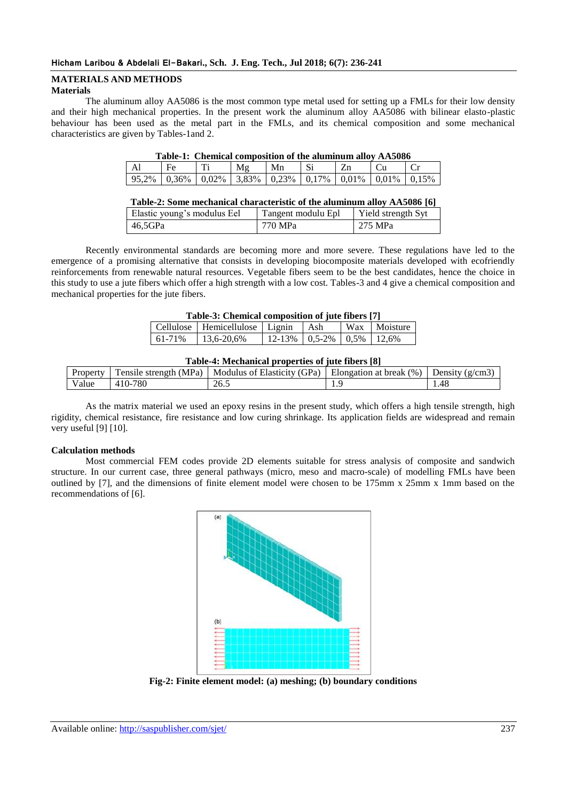### **MATERIALS AND METHODS Materials**

The aluminum alloy AA5086 is the most common type metal used for setting up a FMLs for their low density and their high mechanical properties. In the present work the aluminum alloy AA5086 with bilinear elasto-plastic behaviour has been used as the metal part in the FMLs, and its chemical composition and some mechanical characteristics are given by Tables-1and 2.

| Table-1. Chemical composition of the althumum alloy AA3060               |  |    |    |  |  |  |
|--------------------------------------------------------------------------|--|----|----|--|--|--|
| $\rm E_{\rm P}$                                                          |  | Mφ | Mn |  |  |  |
| $95.2\%$   0.36%   0.02%   3.83%   0.23%   0.17%   0.01%   0.01%   0.15% |  |    |    |  |  |  |

|  | Table-2: Some mechanical characteristic of the aluminum alloy AA5086 [6] |  |
|--|--------------------------------------------------------------------------|--|
|--|--------------------------------------------------------------------------|--|

| Elastic young's modulus Eel | Tangent modulu Epl | Yield strength Syt |
|-----------------------------|--------------------|--------------------|
| 46.5GPa                     | 1 770 MPa          | 1 275 MPa          |

Recently environmental standards are becoming more and more severe. These regulations have led to the emergence of a promising alternative that consists in developing biocomposite materials developed with ecofriendly reinforcements from renewable natural resources. Vegetable fibers seem to be the best candidates, hence the choice in this study to use a jute fibers which offer a high strength with a low cost. Tables-3 and 4 give a chemical composition and mechanical properties for the jute fibers.

|  | Table-3: Chemical composition of jute fibers [7] |  |  |  |
|--|--------------------------------------------------|--|--|--|
|  |                                                  |  |  |  |

|        | Cellulose   Hemicellulose   Lignin   Ash |                                        |  | Wax Moisture |
|--------|------------------------------------------|----------------------------------------|--|--------------|
| 61-71% | $13.6 - 20.6\%$                          | $12-13\%$ $10.5-2\%$ $10.5\%$ $12.6\%$ |  |              |

|          |                          |                             | ___                     |                |
|----------|--------------------------|-----------------------------|-------------------------|----------------|
| Property | strength (MPa)<br>ensile | Modulus of Elasticity (GPa) | Elongation at break (%) | Density (g/cm3 |
| Value    | 780<br>$410 -$           | 26.5                        | .                       | 1.48           |

As the matrix material we used an epoxy resins in the present study, which offers a high tensile strength, high rigidity, chemical resistance, fire resistance and low curing shrinkage. Its application fields are widespread and remain very useful [9] [10].

### **Calculation methods**

Most commercial FEM codes provide 2D elements suitable for stress analysis of composite and sandwich structure. In our current case, three general pathways (micro, meso and macro-scale) of modelling FMLs have been outlined by [7], and the dimensions of finite element model were chosen to be 175mm x 25mm x 1mm based on the recommendations of [6].



**Fig-2: Finite element model: (a) meshing; (b) boundary conditions**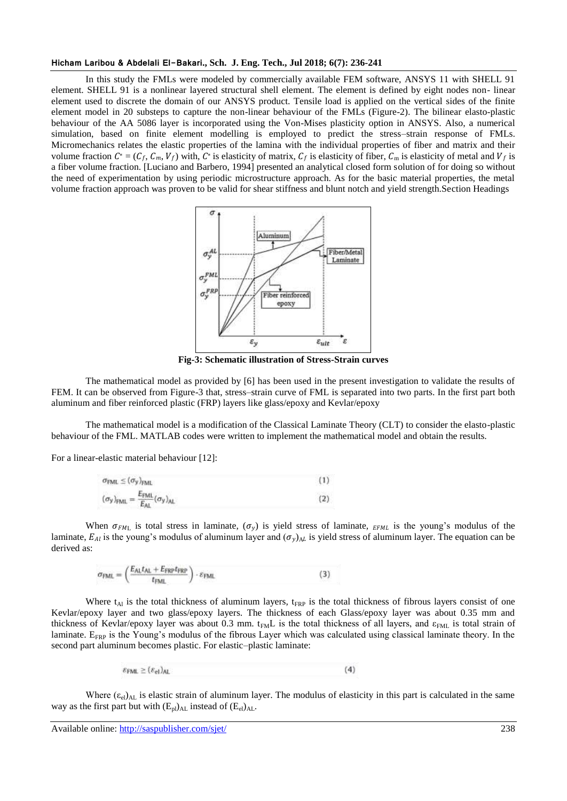#### **Hicham Laribou & Abdelali El-Bakari., Sch. J. Eng. Tech., Jul 2018; 6(7): 236-241**

In this study the FMLs were modeled by commercially available FEM software, ANSYS 11 with SHELL 91 element. SHELL 91 is a nonlinear layered structural shell element. The element is defined by eight nodes non- linear element used to discrete the domain of our ANSYS product. Tensile load is applied on the vertical sides of the finite element model in 20 substeps to capture the non-linear behaviour of the FMLs (Figure-2). The bilinear elasto-plastic behaviour of the AA 5086 layer is incorporated using the Von-Mises plasticity option in ANSYS. Also, a numerical simulation, based on finite element modelling is employed to predict the stress–strain response of FMLs. Micromechanics relates the elastic properties of the lamina with the individual properties of fiber and matrix and their volume fraction  $C^* = (C_f, C_m, V_f)$  with,  $C^*$  is elasticity of matrix,  $C_f$  is elasticity of fiber,  $C_m$  is elasticity of metal and  $V_f$  is a fiber volume fraction. [Luciano and Barbero, 1994] presented an analytical closed form solution of for doing so without the need of experimentation by using periodic microstructure approach. As for the basic material properties, the metal volume fraction approach was proven to be valid for shear stiffness and blunt notch and yield strength.Section Headings



**Fig-3: Schematic illustration of Stress-Strain curves**

The mathematical model as provided by [6] has been used in the present investigation to validate the results of FEM. It can be observed from Figure-3 that, stress–strain curve of FML is separated into two parts. In the first part both aluminum and fiber reinforced plastic (FRP) layers like glass/epoxy and Kevlar/epoxy

The mathematical model is a modification of the Classical Laminate Theory (CLT) to consider the elasto-plastic behaviour of the FML. MATLAB codes were written to implement the mathematical model and obtain the results.

For a linear-elastic material behaviour [12]:

| $\sigma_{\text{FML}} \leq (\sigma_{y})_{\text{FML}}$                                       |  |
|--------------------------------------------------------------------------------------------|--|
| $(\sigma_{y})_{\text{FML}} = \frac{E_{\text{FML}}}{E_{\text{AL}}}(\sigma_{y})_{\text{AL}}$ |  |

When  $\sigma_{FML}$  is total stress in laminate,  $(\sigma_v)$  is yield stress of laminate,  $_{FML}$  is the young's modulus of the laminate,  $E_{Al}$  is the young's modulus of aluminum layer and  $(\sigma_y)_{AL}$  is yield stress of aluminum layer. The equation can be derived as:

$$
\sigma_{\text{FML}} = \left(\frac{E_{\text{AL}}t_{\text{AL}} + E_{\text{FRP}}t_{\text{FRP}}}{t_{\text{FML}}}\right) \cdot \varepsilon_{\text{FML}} \tag{3}
$$

Where  $t_{Al}$  is the total thickness of aluminum layers,  $t_{FRP}$  is the total thickness of fibrous layers consist of one Kevlar/epoxy layer and two glass/epoxy layers. The thickness of each Glass/epoxy layer was about 0.35 mm and thickness of Kevlar/epoxy layer was about 0.3 mm. t<sub>FM</sub>L is the total thickness of all layers, and  $\varepsilon_{FML}$  is total strain of laminate.  $E_{FRP}$  is the Young's modulus of the fibrous Layer which was calculated using classical laminate theory. In the second part aluminum becomes plastic. For elastic–plastic laminate:

> $\varepsilon_{\text{FML}} \geq (\varepsilon_{\text{el}})_{\text{AL}}$  $(4)$

Where  $(\epsilon_{el})_{AL}$  is elastic strain of aluminum layer. The modulus of elasticity in this part is calculated in the same way as the first part but with  $(E_{pl})_{AL}$  instead of  $(E_{el})_{AL}$ .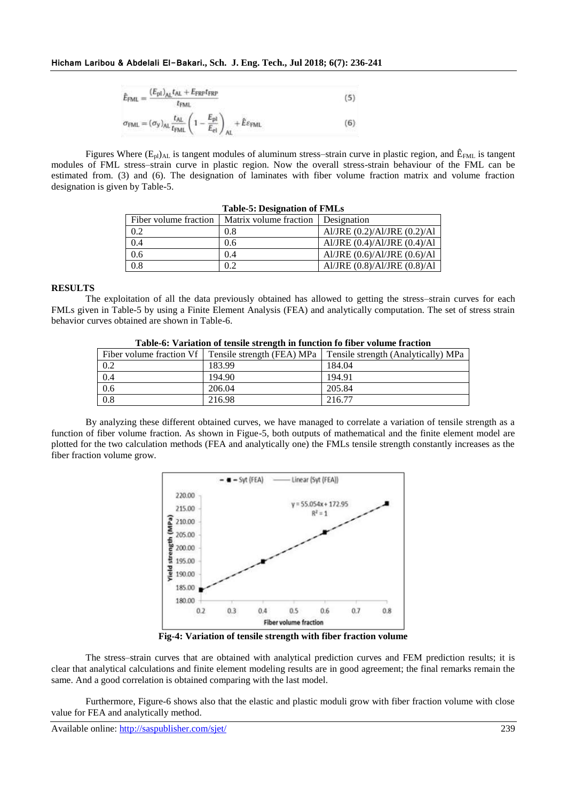$$
\hat{E}_{\text{FML}} = \frac{(E_{\text{pl}})_{\text{AL}} t_{\text{AL}} + E_{\text{FRF}} t_{\text{FRF}}}{t_{\text{FML}}} \tag{5}
$$
\n
$$
\sigma_{\text{FML}} = (\sigma_{\text{y}})_{\text{AL}} \frac{t_{\text{AL}}}{t_{\text{FML}}} \left(1 - \frac{E_{\text{pl}}}{E_{\text{el}}}\right)_{\text{AL}} + \hat{E} \varepsilon_{\text{FML}} \tag{6}
$$

Figures Where ( $E_p$ )<sub>AL</sub> is tangent modules of aluminum stress–strain curve in plastic region, and  $\hat{E}_{FML}$  is tangent modules of FML stress–strain curve in plastic region. Now the overall stress-strain behaviour of the FML can be estimated from. (3) and (6). The designation of laminates with fiber volume fraction matrix and volume fraction designation is given by Table-5.

| Table-5: Designation of Figures |                                      |                                  |  |  |  |
|---------------------------------|--------------------------------------|----------------------------------|--|--|--|
| Fiber volume fraction           | Matrix volume fraction   Designation |                                  |  |  |  |
| 0.2                             | 0.8                                  | Al/JRE $(0.2)/Al/JRE$ $(0.2)/Al$ |  |  |  |
| 0.4                             | 0.6                                  | Al/JRE $(0.4)/Al/JRE$ $(0.4)/Al$ |  |  |  |
| 0.6                             | 0.4                                  | Al/JRE $(0.6)/Al/JRE$ $(0.6)/Al$ |  |  |  |
| 0.8                             | 0.2                                  | Al/JRE (0.8)/Al/JRE (0.8)/Al     |  |  |  |

# **Table-5: Designation of FMLs**

# **RESULTS**

The exploitation of all the data previously obtained has allowed to getting the stress–strain curves for each FMLs given in Table-5 by using a Finite Element Analysis (FEA) and analytically computation. The set of stress strain behavior curves obtained are shown in Table-6.

|     | Fiber volume fraction Vf   Tensile strength (FEA) MPa | Tensile strength (Analytically) MPa |
|-----|-------------------------------------------------------|-------------------------------------|
| 0.2 | 183.99                                                | 184.04                              |
| 0.4 | 194.90                                                | 194.91                              |
| 0.6 | 206.04                                                | 205.84                              |
| 0.8 | 216.98                                                | 216.77                              |

By analyzing these different obtained curves, we have managed to correlate a variation of tensile strength as a function of fiber volume fraction. As shown in Figue-5, both outputs of mathematical and the finite element model are plotted for the two calculation methods (FEA and analytically one) the FMLs tensile strength constantly increases as the fiber fraction volume grow.



**Fig-4: Variation of tensile strength with fiber fraction volume**

The stress–strain curves that are obtained with analytical prediction curves and FEM prediction results; it is clear that analytical calculations and finite element modeling results are in good agreement; the final remarks remain the same. And a good correlation is obtained comparing with the last model.

Furthermore, Figure-6 shows also that the elastic and plastic moduli grow with fiber fraction volume with close value for FEA and analytically method.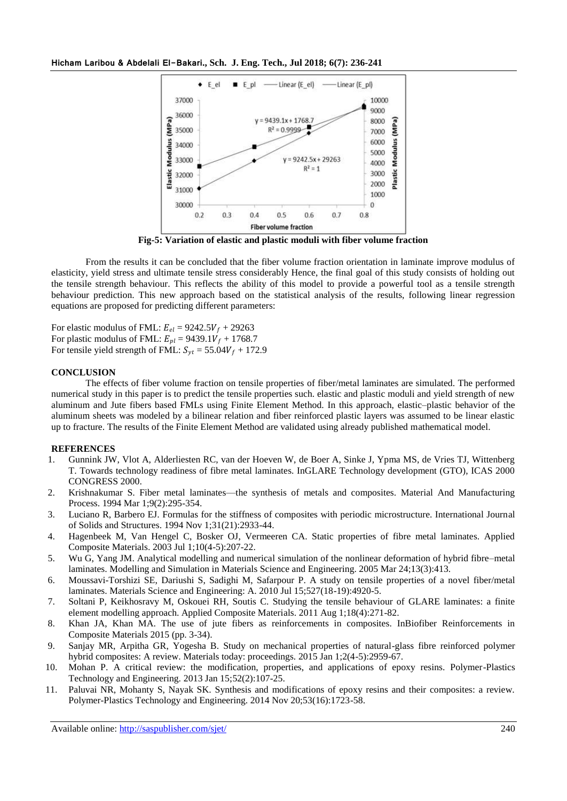

**Fig-5: Variation of elastic and plastic moduli with fiber volume fraction**

From the results it can be concluded that the fiber volume fraction orientation in laminate improve modulus of elasticity, yield stress and ultimate tensile stress considerably Hence, the final goal of this study consists of holding out the tensile strength behaviour. This reflects the ability of this model to provide a powerful tool as a tensile strength behaviour prediction. This new approach based on the statistical analysis of the results, following linear regression equations are proposed for predicting different parameters:

For elastic modulus of FML:  $E_{el} = 9242.5V_f + 29263$ For plastic modulus of FML:  $E_{nl} = 9439.1V_f + 1768.7$ For tensile yield strength of FML:  $S_{yt} = 55.04V_f + 172.9$ 

# **CONCLUSION**

The effects of fiber volume fraction on tensile properties of fiber/metal laminates are simulated. The performed numerical study in this paper is to predict the tensile properties such. elastic and plastic moduli and yield strength of new aluminum and Jute fibers based FMLs using Finite Element Method. In this approach, elastic–plastic behavior of the aluminum sheets was modeled by a bilinear relation and fiber reinforced plastic layers was assumed to be linear elastic up to fracture. The results of the Finite Element Method are validated using already published mathematical model.

### **REFERENCES**

- 1. Gunnink JW, Vlot A, Alderliesten RC, van der Hoeven W, de Boer A, Sinke J, Ypma MS, de Vries TJ, Wittenberg T. Towards technology readiness of fibre metal laminates. InGLARE Technology development (GTO), ICAS 2000 CONGRESS 2000.
- 2. Krishnakumar S. Fiber metal laminates—the synthesis of metals and composites. Material And Manufacturing Process. 1994 Mar 1;9(2):295-354.
- 3. Luciano R, Barbero EJ. Formulas for the stiffness of composites with periodic microstructure. International Journal of Solids and Structures. 1994 Nov 1;31(21):2933-44.
- 4. Hagenbeek M, Van Hengel C, Bosker OJ, Vermeeren CA. Static properties of fibre metal laminates. Applied Composite Materials. 2003 Jul 1;10(4-5):207-22.
- 5. Wu G, Yang JM. Analytical modelling and numerical simulation of the nonlinear deformation of hybrid fibre–metal laminates. Modelling and Simulation in Materials Science and Engineering. 2005 Mar 24;13(3):413.
- 6. Moussavi-Torshizi SE, Dariushi S, Sadighi M, Safarpour P. A study on tensile properties of a novel fiber/metal laminates. Materials Science and Engineering: A. 2010 Jul 15;527(18-19):4920-5.
- 7. Soltani P, Keikhosravy M, Oskouei RH, Soutis C. Studying the tensile behaviour of GLARE laminates: a finite element modelling approach. Applied Composite Materials. 2011 Aug 1;18(4):271-82.
- 8. Khan JA, Khan MA. The use of jute fibers as reinforcements in composites. InBiofiber Reinforcements in Composite Materials 2015 (pp. 3-34).
- 9. Sanjay MR, Arpitha GR, Yogesha B. Study on mechanical properties of natural-glass fibre reinforced polymer hybrid composites: A review. Materials today: proceedings. 2015 Jan 1;2(4-5):2959-67.
- 10. Mohan P. A critical review: the modification, properties, and applications of epoxy resins. Polymer-Plastics Technology and Engineering. 2013 Jan 15;52(2):107-25.
- 11. Paluvai NR, Mohanty S, Nayak SK. Synthesis and modifications of epoxy resins and their composites: a review. Polymer-Plastics Technology and Engineering. 2014 Nov 20;53(16):1723-58.